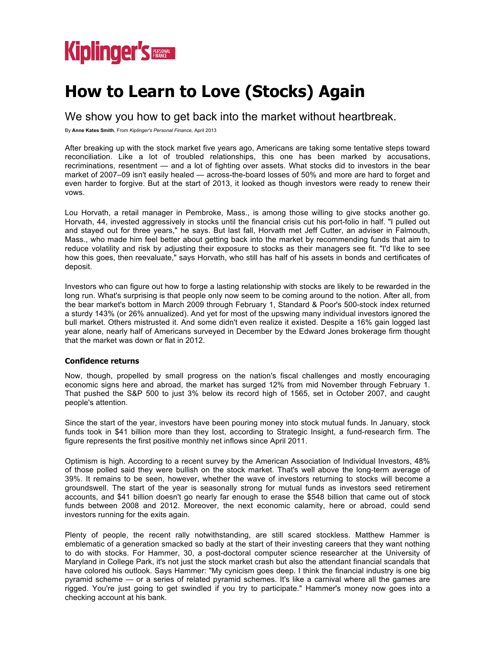

# **How to Learn to Love (Stocks) Again**

We show you how to get back into the market without heartbreak.

By **Anne Kates Smith**, From *Kiplinger's Personal Finance,* April 2013

After breaking up with the stock market five years ago, Americans are taking some tentative steps toward reconciliation. Like a lot of troubled relationships, this one has been marked by accusations, recriminations, resentment — and a lot of fighting over assets. What stocks did to investors in the bear market of 2007–09 isn't easily healed — across-the-board losses of 50% and more are hard to forget and even harder to forgive. But at the start of 2013, it looked as though investors were ready to renew their vows.

Lou Horvath, a retail manager in Pembroke, Mass., is among those willing to give stocks another go. Horvath, 44, invested aggressively in stocks until the financial crisis cut his port-folio in half. "I pulled out and stayed out for three years," he says. But last fall, Horvath met Jeff Cutter, an adviser in Falmouth, Mass., who made him feel better about getting back into the market by recommending funds that aim to reduce volatility and risk by adjusting their exposure to stocks as their managers see fit. "I'd like to see how this goes, then reevaluate," says Horvath, who still has half of his assets in bonds and certificates of deposit.

Investors who can figure out how to forge a lasting relationship with stocks are likely to be rewarded in the long run. What's surprising is that people only now seem to be coming around to the notion. After all, from the bear market's bottom in March 2009 through February 1, Standard & Poor's 500-stock index returned a sturdy 143% (or 26% annualized). And yet for most of the upswing many individual investors ignored the bull market. Others mistrusted it. And some didn't even realize it existed. Despite a 16% gain logged last year alone, nearly half of Americans surveyed in December by the Edward Jones brokerage firm thought that the market was down or flat in 2012.

# **Confidence returns**

Now, though, propelled by small progress on the nation's fiscal challenges and mostly encouraging economic signs here and abroad, the market has surged 12% from mid November through February 1. That pushed the S&P 500 to just 3% below its record high of 1565, set in October 2007, and caught people's attention.

Since the start of the year, investors have been pouring money into stock mutual funds. In January, stock funds took in \$41 billion more than they lost, according to Strategic Insight, a fund-research firm. The figure represents the first positive monthly net inflows since April 2011.

Optimism is high. According to a recent survey by the American Association of Individual Investors, 48% of those polled said they were bullish on the stock market. That's well above the long-term average of 39%. It remains to be seen, however, whether the wave of investors returning to stocks will become a groundswell. The start of the year is seasonally strong for mutual funds as investors seed retirement accounts, and \$41 billion doesn't go nearly far enough to erase the \$548 billion that came out of stock funds between 2008 and 2012. Moreover, the next economic calamity, here or abroad, could send investors running for the exits again.

Plenty of people, the recent rally notwithstanding, are still scared stockless. Matthew Hammer is emblematic of a generation smacked so badly at the start of their investing careers that they want nothing to do with stocks. For Hammer, 30, a post-doctoral computer science researcher at the University of Maryland in College Park, it's not just the stock market crash but also the attendant financial scandals that have colored his outlook. Says Hammer: "My cynicism goes deep. I think the financial industry is one big pyramid scheme — or a series of related pyramid schemes. It's like a carnival where all the games are rigged. You're just going to get swindled if you try to participate." Hammer's money now goes into a checking account at his bank.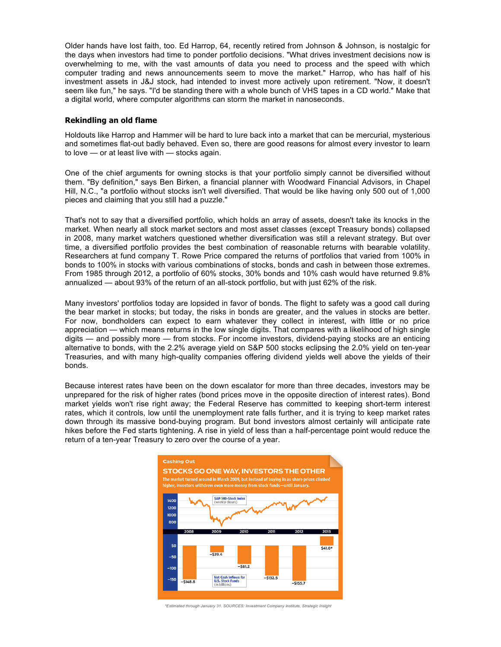Older hands have lost faith, too. Ed Harrop, 64, recently retired from Johnson & Johnson, is nostalgic for the days when investors had time to ponder portfolio decisions. "What drives investment decisions now is overwhelming to me, with the vast amounts of data you need to process and the speed with which computer trading and news announcements seem to move the market." Harrop, who has half of his investment assets in J&J stock, had intended to invest more actively upon retirement. "Now, it doesn't seem like fun," he says. "I'd be standing there with a whole bunch of VHS tapes in a CD world." Make that a digital world, where computer algorithms can storm the market in nanoseconds.

### **Rekindling an old flame**

Holdouts like Harrop and Hammer will be hard to lure back into a market that can be mercurial, mysterious and sometimes flat-out badly behaved. Even so, there are good reasons for almost every investor to learn to love — or at least live with — stocks again.

One of the chief arguments for owning stocks is that your portfolio simply cannot be diversified without them. "By definition," says Ben Birken, a financial planner with Woodward Financial Advisors, in Chapel Hill, N.C., "a portfolio without stocks isn't well diversified. That would be like having only 500 out of 1,000 pieces and claiming that you still had a puzzle."

That's not to say that a diversified portfolio, which holds an array of assets, doesn't take its knocks in the market. When nearly all stock market sectors and most asset classes (except Treasury bonds) collapsed in 2008, many market watchers questioned whether diversification was still a relevant strategy. But over time, a diversified portfolio provides the best combination of reasonable returns with bearable volatility. Researchers at fund company T. Rowe Price compared the returns of portfolios that varied from 100% in bonds to 100% in stocks with various combinations of stocks, bonds and cash in between those extremes. From 1985 through 2012, a portfolio of 60% stocks, 30% bonds and 10% cash would have returned 9.8% annualized — about 93% of the return of an all-stock portfolio, but with just 62% of the risk.

Many investors' portfolios today are lopsided in favor of bonds. The flight to safety was a good call during the bear market in stocks; but today, the risks in bonds are greater, and the values in stocks are better. For now, bondholders can expect to earn whatever they collect in interest, with little or no price appreciation — which means returns in the low single digits. That compares with a likelihood of high single digits — and possibly more — from stocks. For income investors, dividend-paying stocks are an enticing alternative to bonds, with the 2.2% average yield on S&P 500 stocks eclipsing the 2.0% yield on ten-year Treasuries, and with many high-quality companies offering dividend yields well above the yields of their bonds.

Because interest rates have been on the down escalator for more than three decades, investors may be unprepared for the risk of higher rates (bond prices move in the opposite direction of interest rates). Bond market yields won't rise right away; the Federal Reserve has committed to keeping short-term interest rates, which it controls, low until the unemployment rate falls further, and it is trying to keep market rates down through its massive bond-buying program. But bond investors almost certainly will anticipate rate hikes before the Fed starts tightening. A rise in yield of less than a half-percentage point would reduce the return of a ten-year Treasury to zero over the course of a year.



 *\*Estimated through January 31. SOURCES: Investment Company Institute, Strategic Insight*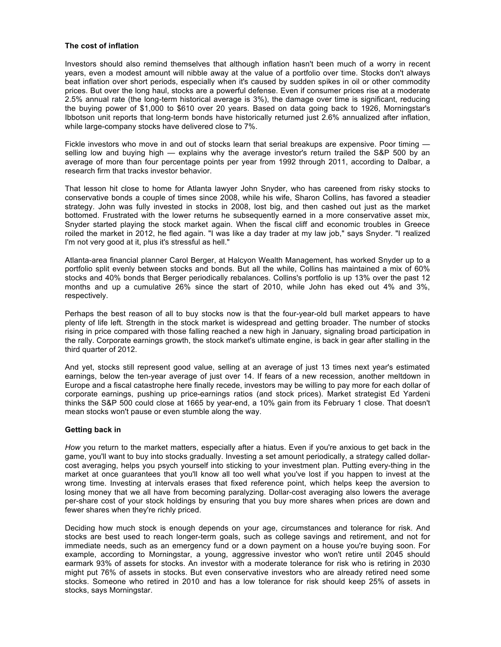# **The cost of inflation**

Investors should also remind themselves that although inflation hasn't been much of a worry in recent years, even a modest amount will nibble away at the value of a portfolio over time. Stocks don't always beat inflation over short periods, especially when it's caused by sudden spikes in oil or other commodity prices. But over the long haul, stocks are a powerful defense. Even if consumer prices rise at a moderate 2.5% annual rate (the long-term historical average is 3%), the damage over time is significant, reducing the buying power of \$1,000 to \$610 over 20 years. Based on data going back to 1926, Morningstar's Ibbotson unit reports that long-term bonds have historically returned just 2.6% annualized after inflation, while large-company stocks have delivered close to 7%.

Fickle investors who move in and out of stocks learn that serial breakups are expensive. Poor timing selling low and buying high — explains why the average investor's return trailed the S&P 500 by an average of more than four percentage points per year from 1992 through 2011, according to Dalbar, a research firm that tracks investor behavior.

That lesson hit close to home for Atlanta lawyer John Snyder, who has careened from risky stocks to conservative bonds a couple of times since 2008, while his wife, Sharon Collins, has favored a steadier strategy. John was fully invested in stocks in 2008, lost big, and then cashed out just as the market bottomed. Frustrated with the lower returns he subsequently earned in a more conservative asset mix, Snyder started playing the stock market again. When the fiscal cliff and economic troubles in Greece roiled the market in 2012, he fled again. "I was like a day trader at my law job," says Snyder. "I realized I'm not very good at it, plus it's stressful as hell."

Atlanta-area financial planner Carol Berger, at Halcyon Wealth Management, has worked Snyder up to a portfolio split evenly between stocks and bonds. But all the while, Collins has maintained a mix of 60% stocks and 40% bonds that Berger periodically rebalances. Collins's portfolio is up 13% over the past 12 months and up a cumulative 26% since the start of 2010, while John has eked out 4% and 3%, respectively.

Perhaps the best reason of all to buy stocks now is that the four-year-old bull market appears to have plenty of life left. Strength in the stock market is widespread and getting broader. The number of stocks rising in price compared with those falling reached a new high in January, signaling broad participation in the rally. Corporate earnings growth, the stock market's ultimate engine, is back in gear after stalling in the third quarter of 2012.

And yet, stocks still represent good value, selling at an average of just 13 times next year's estimated earnings, below the ten-year average of just over 14. If fears of a new recession, another meltdown in Europe and a fiscal catastrophe here finally recede, investors may be willing to pay more for each dollar of corporate earnings, pushing up price-earnings ratios (and stock prices). Market strategist Ed Yardeni thinks the S&P 500 could close at 1665 by year-end, a 10% gain from its February 1 close. That doesn't mean stocks won't pause or even stumble along the way.

# **Getting back in**

*How* you return to the market matters, especially after a hiatus. Even if you're anxious to get back in the game, you'll want to buy into stocks gradually. Investing a set amount periodically, a strategy called dollarcost averaging, helps you psych yourself into sticking to your investment plan. Putting every-thing in the market at once guarantees that you'll know all too well what you've lost if you happen to invest at the wrong time. Investing at intervals erases that fixed reference point, which helps keep the aversion to losing money that we all have from becoming paralyzing. Dollar-cost averaging also lowers the average per-share cost of your stock holdings by ensuring that you buy more shares when prices are down and fewer shares when they're richly priced.

Deciding how much stock is enough depends on your age, circumstances and tolerance for risk. And stocks are best used to reach longer-term goals, such as college savings and retirement, and not for immediate needs, such as an emergency fund or a down payment on a house you're buying soon. For example, according to Morningstar, a young, aggressive investor who won't retire until 2045 should earmark 93% of assets for stocks. An investor with a moderate tolerance for risk who is retiring in 2030 might put 76% of assets in stocks. But even conservative investors who are already retired need some stocks. Someone who retired in 2010 and has a low tolerance for risk should keep 25% of assets in stocks, says Morningstar.